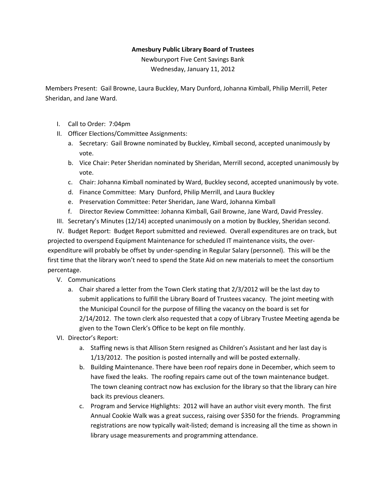## **Amesbury Public Library Board of Trustees**

Newburyport Five Cent Savings Bank Wednesday, January 11, 2012

Members Present: Gail Browne, Laura Buckley, Mary Dunford, Johanna Kimball, Philip Merrill, Peter Sheridan, and Jane Ward.

- I. Call to Order: 7:04pm
- II. Officer Elections/Committee Assignments:
	- a. Secretary: Gail Browne nominated by Buckley, Kimball second, accepted unanimously by vote.
	- b. Vice Chair: Peter Sheridan nominated by Sheridan, Merrill second, accepted unanimously by vote.
	- c. Chair: Johanna Kimball nominated by Ward, Buckley second, accepted unanimously by vote.
	- d. Finance Committee: Mary Dunford, Philip Merrill, and Laura Buckley
	- e. Preservation Committee: Peter Sheridan, Jane Ward, Johanna Kimball
	- f. Director Review Committee: Johanna Kimball, Gail Browne, Jane Ward, David Pressley.
- III. Secretary's Minutes (12/14) accepted unanimously on a motion by Buckley, Sheridan second.

IV. Budget Report: Budget Report submitted and reviewed. Overall expenditures are on track, but projected to overspend Equipment Maintenance for scheduled IT maintenance visits, the overexpenditure will probably be offset by under-spending in Regular Salary (personnel). This will be the first time that the library won't need to spend the State Aid on new materials to meet the consortium percentage.

## V. Communications

- a. Chair shared a letter from the Town Clerk stating that 2/3/2012 will be the last day to submit applications to fulfill the Library Board of Trustees vacancy. The joint meeting with the Municipal Council for the purpose of filling the vacancy on the board is set for 2/14/2012. The town clerk also requested that a copy of Library Trustee Meeting agenda be given to the Town Clerk's Office to be kept on file monthly.
- VI. Director's Report:
	- a. Staffing news is that Allison Stern resigned as Children's Assistant and her last day is 1/13/2012. The position is posted internally and will be posted externally.
	- b. Building Maintenance. There have been roof repairs done in December, which seem to have fixed the leaks. The roofing repairs came out of the town maintenance budget. The town cleaning contract now has exclusion for the library so that the library can hire back its previous cleaners.
	- c. Program and Service Highlights: 2012 will have an author visit every month. The first Annual Cookie Walk was a great success, raising over \$350 for the friends. Programming registrations are now typically wait-listed; demand is increasing all the time as shown in library usage measurements and programming attendance.